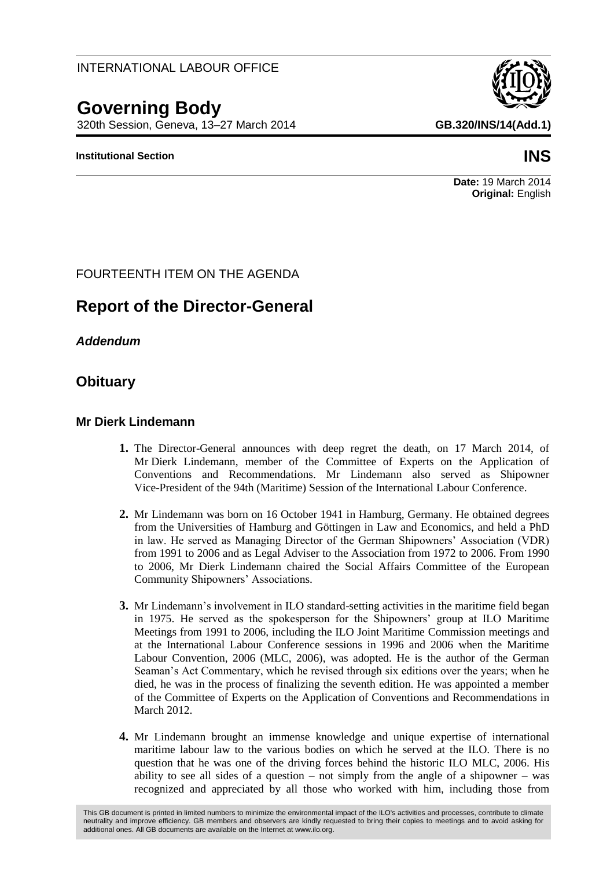# **Governing Body**

320th Session, Geneva, 13–27 March 2014 **GB.320/INS/14(Add.1)**

### **Institutional Section INS**

#### **Date:** 19 March 2014 **Original:** English

# FOURTEENTH ITEM ON THE AGENDA

# **Report of the Director-General**

*Addendum*

# **Obituary**

## **Mr Dierk Lindemann**

- **1.** The Director-General announces with deep regret the death, on 17 March 2014, of Mr Dierk Lindemann, member of the Committee of Experts on the Application of Conventions and Recommendations. Mr Lindemann also served as Shipowner Vice-President of the 94th (Maritime) Session of the International Labour Conference.
- **2.** Mr Lindemann was born on 16 October 1941 in Hamburg, Germany. He obtained degrees from the Universities of Hamburg and Göttingen in Law and Economics, and held a PhD in law. He served as Managing Director of the German Shipowners' Association (VDR) from 1991 to 2006 and as Legal Adviser to the Association from 1972 to 2006. From 1990 to 2006, Mr Dierk Lindemann chaired the Social Affairs Committee of the European Community Shipowners' Associations.
- **3.** Mr Lindemann's involvement in ILO standard-setting activities in the maritime field began in 1975. He served as the spokesperson for the Shipowners' group at ILO Maritime Meetings from 1991 to 2006, including the ILO Joint Maritime Commission meetings and at the International Labour Conference sessions in 1996 and 2006 when the Maritime Labour Convention, 2006 (MLC, 2006), was adopted. He is the author of the German Seaman's Act Commentary, which he revised through six editions over the years; when he died, he was in the process of finalizing the seventh edition. He was appointed a member of the Committee of Experts on the Application of Conventions and Recommendations in March 2012.
- **4.** Mr Lindemann brought an immense knowledge and unique expertise of international maritime labour law to the various bodies on which he served at the ILO. There is no question that he was one of the driving forces behind the historic ILO MLC, 2006. His ability to see all sides of a question – not simply from the angle of a shipowner – was recognized and appreciated by all those who worked with him, including those from

This GB document is printed in limited numbers to minimize the environmental impact of the ILO's activities and processes, contribute to climate neutrality and improve efficiency. GB members and observers are kindly requested to bring their copies to meetings and to avoid asking for additional ones. All GB documents are available on the Internet at www.ilo.org.